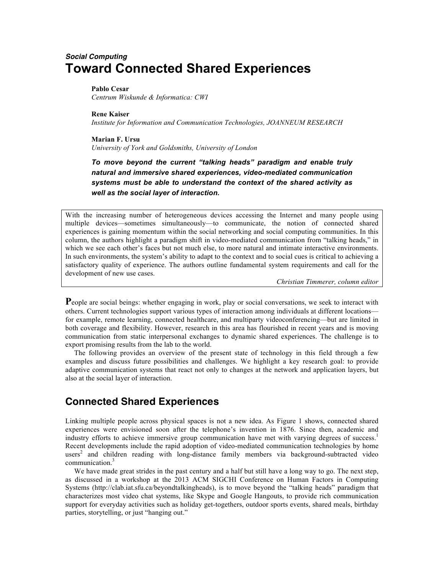# *Social Computing* **Toward Connected Shared Experiences**

**Pablo Cesar**

*Centrum Wiskunde & Informatica: CWI*

#### **Rene Kaiser**

*Institute for Information and Communication Technologies, JOANNEUM RESEARCH*

**Marian F. Ursu** *University of York and Goldsmiths, University of London*

### *To move beyond the current "talking heads" paradigm and enable truly natural and immersive shared experiences, video-mediated communication systems must be able to understand the context of the shared activity as well as the social layer of interaction.*

With the increasing number of heterogeneous devices accessing the Internet and many people using multiple devices—sometimes simultaneously—to communicate, the notion of connected shared experiences is gaining momentum within the social networking and social computing communities. In this column, the authors highlight a paradigm shift in video-mediated communication from "talking heads," in which we see each other's faces but not much else, to more natural and intimate interactive environments. In such environments, the system's ability to adapt to the context and to social cues is critical to achieving a satisfactory quality of experience. The authors outline fundamental system requirements and call for the development of new use cases.

*Christian Timmerer, column editor*

People are social beings: whether engaging in work, play or social conversations, we seek to interact with others. Current technologies support various types of interaction among individuals at different locations for example, remote learning, connected healthcare, and multiparty videoconferencing—but are limited in both coverage and flexibility. However, research in this area has flourished in recent years and is moving communication from static interpersonal exchanges to dynamic shared experiences. The challenge is to export promising results from the lab to the world.

The following provides an overview of the present state of technology in this field through a few examples and discuss future possibilities and challenges. We highlight a key research goal: to provide adaptive communication systems that react not only to changes at the network and application layers, but also at the social layer of interaction.

## **Connected Shared Experiences**

Linking multiple people across physical spaces is not a new idea. As Figure 1 shows, connected shared experiences were envisioned soon after the telephone's invention in 1876. Since then, academic and industry efforts to achieve immersive group communication have met with varying degrees of success.<sup>1</sup> Recent developments include the rapid adoption of video-mediated communication technologies by home users<sup>2</sup> and children reading with long-distance family members via background-subtracted video communication. 3

We have made great strides in the past century and a half but still have a long way to go. The next step, as discussed in a workshop at the 2013 ACM SIGCHI Conference on Human Factors in Computing Systems (http://clab.iat.sfu.ca/beyondtalkingheads), is to move beyond the "talking heads" paradigm that characterizes most video chat systems, like Skype and Google Hangouts, to provide rich communication support for everyday activities such as holiday get-togethers, outdoor sports events, shared meals, birthday parties, storytelling, or just "hanging out."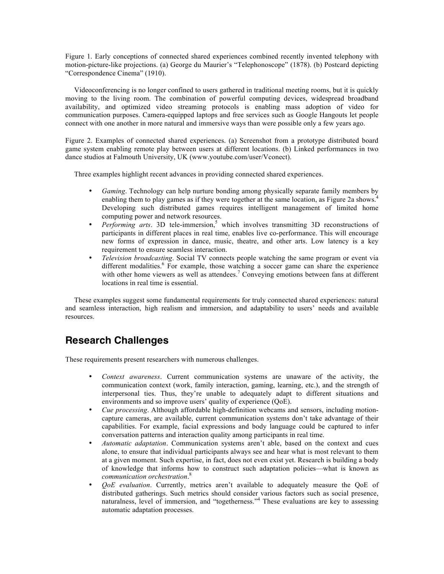Figure 1. Early conceptions of connected shared experiences combined recently invented telephony with motion-picture-like projections. (a) George du Maurier's "Telephonoscope" (1878). (b) Postcard depicting "Correspondence Cinema" (1910).

Videoconferencing is no longer confined to users gathered in traditional meeting rooms, but it is quickly moving to the living room. The combination of powerful computing devices, widespread broadband availability, and optimized video streaming protocols is enabling mass adoption of video for communication purposes. Camera-equipped laptops and free services such as Google Hangouts let people connect with one another in more natural and immersive ways than were possible only a few years ago.

Figure 2. Examples of connected shared experiences. (a) Screenshot from a prototype distributed board game system enabling remote play between users at different locations. (b) Linked performances in two dance studios at Falmouth University, UK (www.youtube.com/user/Vconect).

Three examples highlight recent advances in providing connected shared experiences.

- *Gaming*. Technology can help nurture bonding among physically separate family members by enabling them to play games as if they were together at the same location, as Figure 2a shows.<sup>4</sup> Developing such distributed games requires intelligent management of limited home computing power and network resources.
- Performing arts. 3D tele-immersion,<sup>5</sup> which involves transmitting 3D reconstructions of participants in different places in real time, enables live co-performance. This will encourage new forms of expression in dance, music, theatre, and other arts. Low latency is a key requirement to ensure seamless interaction.
- *Television broadcasting*. Social TV connects people watching the same program or event via different modalities.<sup>6</sup> For example, those watching a soccer game can share the experience with other home viewers as well as attendees.<sup>7</sup> Conveying emotions between fans at different locations in real time is essential.

These examples suggest some fundamental requirements for truly connected shared experiences: natural and seamless interaction, high realism and immersion, and adaptability to users' needs and available resources.

# **Research Challenges**

These requirements present researchers with numerous challenges.

- *Context awareness*. Current communication systems are unaware of the activity, the communication context (work, family interaction, gaming, learning, etc.), and the strength of interpersonal ties. Thus, they're unable to adequately adapt to different situations and environments and so improve users' quality of experience (QoE).
- *Cue processing*. Although affordable high-definition webcams and sensors, including motioncapture cameras, are available, current communication systems don't take advantage of their capabilities. For example, facial expressions and body language could be captured to infer conversation patterns and interaction quality among participants in real time.
- *Automatic adaptation*. Communication systems aren't able, based on the context and cues alone, to ensure that individual participants always see and hear what is most relevant to them at a given moment. Such expertise, in fact, does not even exist yet. Research is building a body of knowledge that informs how to construct such adaptation policies—what is known as *communication orchestration*. 8
- *QoE evaluation*. Currently, metrics aren't available to adequately measure the QoE of distributed gatherings. Such metrics should consider various factors such as social presence, naturalness, level of immersion, and "togetherness."<sup>4</sup> These evaluations are key to assessing automatic adaptation processes.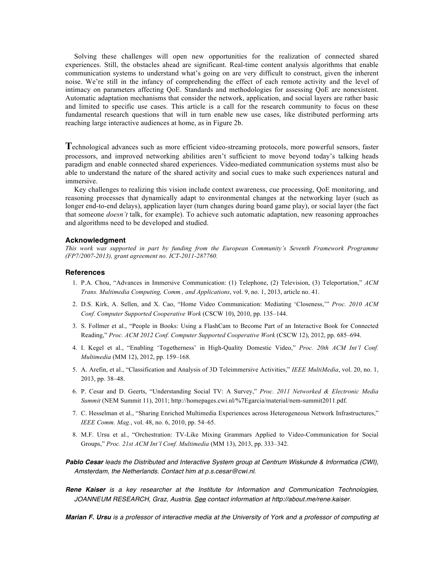Solving these challenges will open new opportunities for the realization of connected shared experiences. Still, the obstacles ahead are significant. Real-time content analysis algorithms that enable communication systems to understand what's going on are very difficult to construct, given the inherent noise. We're still in the infancy of comprehending the effect of each remote activity and the level of intimacy on parameters affecting QoE. Standards and methodologies for assessing QoE are nonexistent. Automatic adaptation mechanisms that consider the network, application, and social layers are rather basic and limited to specific use cases. This article is a call for the research community to focus on these fundamental research questions that will in turn enable new use cases, like distributed performing arts reaching large interactive audiences at home, as in Figure 2b.

**T**echnological advances such as more efficient video-streaming protocols, more powerful sensors, faster processors, and improved networking abilities aren't sufficient to move beyond today's talking heads paradigm and enable connected shared experiences. Video-mediated communication systems must also be able to understand the nature of the shared activity and social cues to make such experiences natural and immersive.

Key challenges to realizing this vision include context awareness, cue processing, QoE monitoring, and reasoning processes that dynamically adapt to environmental changes at the networking layer (such as longer end-to-end delays), application layer (turn changes during board game play), or social layer (the fact that someone *doesn't* talk, for example). To achieve such automatic adaptation, new reasoning approaches and algorithms need to be developed and studied.

### **Acknowledgment**

*This work was supported in part by funding from the European Community's Seventh Framework Programme (FP7/2007-2013), grant agreement no. ICT-2011-287760.*

#### **References**

- 1. P.A. Chou, "Advances in Immersive Communication: (1) Telephone, (2) Television, (3) Teleportation," *ACM Trans. Multimedia Computing, Comm., and Applications*, vol. 9, no. 1, 2013, article no. 41.
- 2. D.S. Kirk, A. Sellen, and X. Cao, "Home Video Communication: Mediating 'Closeness,'" *Proc. 2010 ACM Conf. Computer Supported Cooperative Work* (CSCW 10), 2010, pp. 135–144.
- 3. S. Follmer et al., "People in Books: Using a FlashCam to Become Part of an Interactive Book for Connected Reading," *Proc. ACM 2012 Conf. Computer Supported Cooperative Work* (CSCW 12), 2012, pp. 685–694.
- 4. I. Kegel et al., "Enabling 'Togetherness' in High-Quality Domestic Video," *Proc. 20th ACM Int'l Conf. Multimedia* (MM 12), 2012, pp. 159–168.
- 5. A. Arefin, et al., "Classification and Analysis of 3D Teleimmersive Activities," *IEEE MultiMedia*, vol. 20, no. 1, 2013, pp. 38–48.
- 6. P. Cesar and D. Geerts, "Understanding Social TV: A Survey," *Proc. 2011 Networked & Electronic Media Summit* (NEM Summit 11), 2011; http://homepages.cwi.nl/%7Egarcia/material/nem-summit2011.pdf.
- 7. C. Hesselman et al., "Sharing Enriched Multimedia Experiences across Heterogeneous Network Infrastructures," *IEEE Comm. Mag.*, vol. 48, no. 6, 2010, pp. 54–65.
- 8. M.F. Ursu et al., "Orchestration: TV-Like Mixing Grammars Applied to Video-Communication for Social Groups," *Proc. 21st ACM Int'l Conf. Multimedia* (MM 13), 2013, pp. 333–342.
- *Pablo Cesar leads the Distributed and Interactive System group at Centrum Wiskunde & Informatica (CWI), Amsterdam, the Netherlands. Contact him at p.s.cesar@cwi.nl.*
- *Rene Kaiser is a key researcher at the Institute for Information and Communication Technologies, JOANNEUM RESEARCH, Graz, Austria. See contact information at http://about.me/rene.kaiser.*

*Marian F. Ursu is a professor of interactive media at the University of York and a professor of computing at*